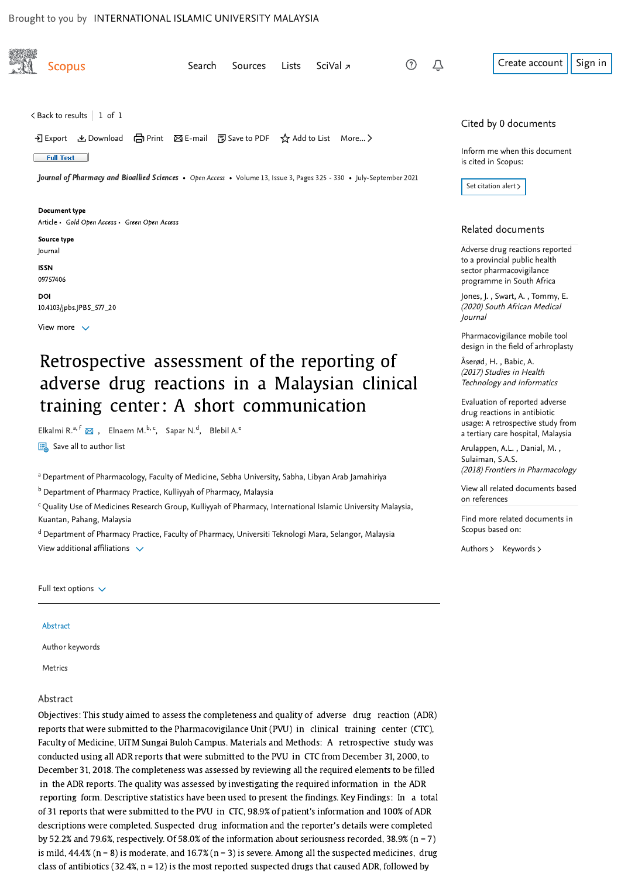<span id="page-0-0"></span>

| <b>Scopus</b>                                                                                                               | Search | <b>Sources</b> | Lists | SciVal $\overline{z}$ | (?) | Û | Create account                                                  | Sign in |
|-----------------------------------------------------------------------------------------------------------------------------|--------|----------------|-------|-----------------------|-----|---|-----------------------------------------------------------------|---------|
|                                                                                                                             |        |                |       |                       |     |   |                                                                 |         |
|                                                                                                                             |        |                |       |                       |     |   |                                                                 |         |
| $\langle$ Back to results   1 of 1                                                                                          |        |                |       |                       |     |   | Cited by 0 documents                                            |         |
| • • Export と Download (금 Print ⊠ E-mail ⊡ Save to PDF ☆ Add to List More >                                                  |        |                |       |                       |     |   |                                                                 |         |
| <b>Full Text</b>                                                                                                            |        |                |       |                       |     |   | Inform me when this document                                    |         |
|                                                                                                                             |        |                |       |                       |     |   | is cited in Scopus:                                             |         |
| <b>Journal of Pharmacy and Bioallied Sciences •</b> Open Access • Volume 13, Issue 3, Pages 325 - 330 • July-September 2021 |        |                |       |                       |     |   | Set citation alert >                                            |         |
| Document type                                                                                                               |        |                |       |                       |     |   |                                                                 |         |
| Article • Gold Open Access • Green Open Access                                                                              |        |                |       |                       |     |   |                                                                 |         |
| Source type                                                                                                                 |        |                |       |                       |     |   | Related documents                                               |         |
| Journal                                                                                                                     |        |                |       |                       |     |   | Adverse drug reactions reported                                 |         |
| <b>ISSN</b>                                                                                                                 |        |                |       |                       |     |   | to a provincial public health<br>sector pharmacovigilance       |         |
| 09757406                                                                                                                    |        |                |       |                       |     |   | programme in South Africa                                       |         |
| DOI                                                                                                                         |        |                |       |                       |     |   | Jones, J., Swart, A., Tommy, E.<br>(2020) South African Medical |         |
| 10.4103/jpbs.JPBS_577_20                                                                                                    |        |                |       |                       |     |   | Journal                                                         |         |
| View more $\vee$                                                                                                            |        |                |       |                       |     |   | Pharmacovigilance mobile tool                                   |         |
|                                                                                                                             |        |                |       |                       |     |   | design in the field of arhroplasty                              |         |
| Retrospective assessment of the reporting of                                                                                |        |                |       |                       |     |   | Åserød, H., Babic, A.                                           |         |

# Retrospective assessment of the reporting of adverse drug reactions in a Malaysian clinical training center : A short communication

Elkalmi R.<sup>a[,](mailto:Edriph@gmail.com) f</sup>  $\boxtimes$ , Elnaem M.<sup>b, c</sup>, Sapar N.<sup>d</sup>, Blebil A.<sup>e</sup>

 $\overline{\mathbb{F}_{\oplus}}$  Save all to author list

<sup>a</sup> Department of Pharmacology, Faculty of Medicine, Sebha University, Sabha, Libyan Arab Jamahiriya

<sup>b</sup> Department of Pharmacy Practice, Kulliyyah of Pharmacy, Malaysia

 $\rm ^c$ Quality Use of Medicines Research Group, Kulliyyah of Pharmacy, International Islamic University Malaysia, Kuantan, Pahang, Malaysia

<sup>d</sup> Department of Pharmacy Practice, Faculty of Pharmacy, Universiti Teknologi Mara, Selangor, Malaysia View additional affiliations  $\vee$ 

Full text options  $\sqrt{}$ 

#### Abstract

Author keywords

Metrics

#### Abstract

Objectives: This study aimed to assess the completeness and quality of adverse drug reaction (ADR) reports that were submitted to the Pharmacovigilance Unit (PVU) in clinical training center (CTC), Faculty of Medicine, UiTM Sungai Buloh Campus. Materials and Methods: A retrospective study was conducted using all ADR reports that were submitted to the PVU in CTC from December 31, 2000, to December 31, 2018. The completeness was assessed by reviewing all the required elements to be filled in the ADR reports. The quality was assessed by investigating the required information in the ADR reporting form. Descriptive statistics have been used to present the findings. Key Findings: In a total of 31 reports that were submitted to the PVU in CTC, 98.9% of patient's information and 100% of ADR descriptions were completed. Suspected drug information and the reporter's details were completed by 52.2% and 79.6%, respectively. Of 58.0% of the information about seriousness recorded, 38.9% (n = 7) is mild,  $44.4\%$  (n = 8) is moderate, and 16.7% (n = 3) is severe. Among all the suspected medicines, drug class of antibiotics (32.4%,  $n = 12$ ) is the most reported suspected drugs that caused ADR, followed by

Technology and Informatics Evaluation of reported adverse drug reactions in antibiotic

(2017) Studies in Health

,, [Arulappen, A.L.](https://www.scopus.com/authid/detail.uri?origin=recordpage&authorId=57217881951&zone=relatedDocuments) Danial, M. [usage: A retrospective study from](https://www.scopus.com/record/display.uri?origin=recordpage&zone=relatedDocuments&eid=2-s2.0-85052223960&citeCnt=0&noHighlight=false&sort=plf-f&src=s&st1=Retrospective+assessment+of+the+reporting+of+adverse+drug+reactions+in+a+Malaysian+clinical+training+center%3a+A+short+communication&sid=268aa75124c84f7e9287c128a89251e7&sot=b&sdt=b&sl=145&s=TITLE-ABS-KEY%28Retrospective+assessment+of+the+reporting+of+adverse+drug+reactions+in+a+Malaysian+clinical+training+center%3a+A+short+communication%29&relpos=2) a tertiary care hospital, Malaysia

(2018) Frontiers in Pharmacology [Sulaiman, S.A.S.](https://www.scopus.com/authid/detail.uri?origin=recordpage&authorId=7005401110&zone=relatedDocuments)

[View all related documents based](https://www.scopus.com/search/submit/mlt.uri?eid=2-s2.0-85121122456&src=s&all=true&origin=recordpage&method=ref&zone=relatedDocuments) on references

Find more related documents in Scopus based on:

[Authors](https://www.scopus.com/search/submit/mlt.uri?eid=2-s2.0-85121122456&src=s&all=true&origin=recordpage&method=aut&zone=relatedDocuments) > [Keywords](https://www.scopus.com/search/submit/mlt.uri?eid=2-s2.0-85121122456&src=s&all=true&origin=recordpage&method=key&zone=relatedDocuments) >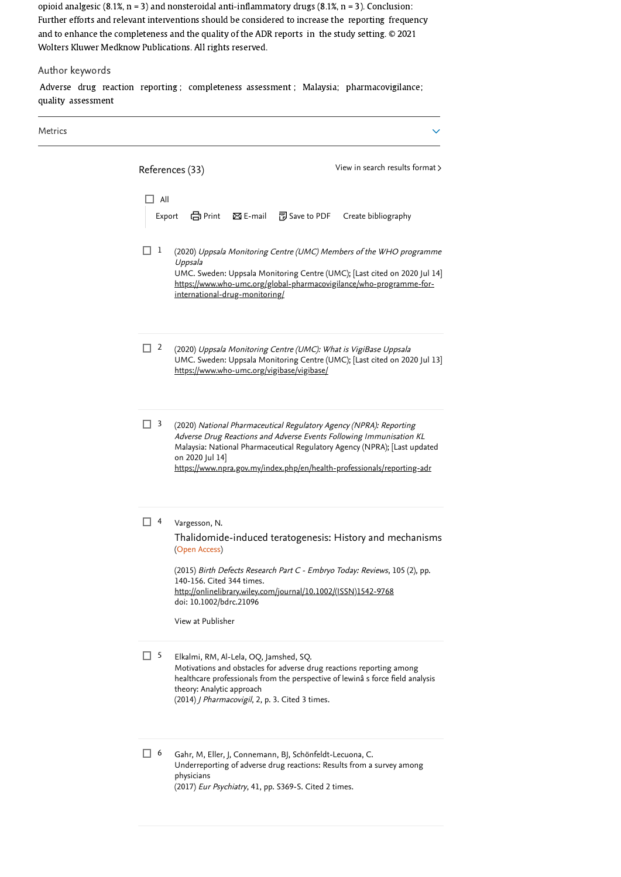opioid analgesic (8.1%, n = 3) and nonsteroidal anti-inflammatory drugs (8.1%, n = 3). Conclusion: Further efforts and relevant interventions should be considered to increase the reporting frequency and to enhance the completeness and the quality of the ADR reports in the study setting. © 2021 Wolters Kluwer Medknow Publications. All rights reserved.

# Author keywords

Adverse drug reaction reporting ; completeness assessment ; Malaysia; pharmacovigilance; quality assessment

| Metrics |                                                                                                                                                                                                                                                                                                                                            |
|---------|--------------------------------------------------------------------------------------------------------------------------------------------------------------------------------------------------------------------------------------------------------------------------------------------------------------------------------------------|
|         | View in search results format ><br>References (33)<br>All<br>合 Print<br>$\boxtimes$ E-mail<br><sup>丽</sup> Save to PDF<br>Create bibliography                                                                                                                                                                                              |
|         | Export<br>1<br>(2020) Uppsala Monitoring Centre (UMC) Members of the WHO programme<br>Uppsala<br>UMC. Sweden: Uppsala Monitoring Centre (UMC); [Last cited on 2020 Jul 14]<br>https://www.who-umc.org/global-pharmacovigilance/who-programme-for-<br>international-drug-monitoring/                                                        |
|         | $\Box$ 2<br>(2020) Uppsala Monitoring Centre (UMC): What is VigiBase Uppsala<br>UMC. Sweden: Uppsala Monitoring Centre (UMC); [Last cited on 2020 Jul 13]<br>https://www.who-umc.org/vigibase/vigibase/                                                                                                                                    |
|         | $\Box$ 3<br>(2020) National Pharmaceutical Regulatory Agency (NPRA): Reporting<br>Adverse Drug Reactions and Adverse Events Following Immunisation KL<br>Malaysia: National Pharmaceutical Regulatory Agency (NPRA); [Last updated<br>on 2020 Jul 14]<br>https://www.npra.gov.my/index.php/en/health-professionals/reporting-adr           |
|         | $\overline{4}$<br>Vargesson, N.<br>Thalidomide-induced teratogenesis: History and mechanisms<br>(Open Access)<br>(2015) Birth Defects Research Part C - Embryo Today: Reviews, 105 (2), pp.<br>140-156. Cited 344 times.<br>http://onlinelibrary.wiley.com/journal/10.1002/(ISSN)1542-9768<br>doi: 10.1002/bdrc.21096<br>View at Publisher |
|         | $\Box$ 5<br>Elkalmi, RM, Al-Lela, OQ, Jamshed, SQ.<br>Motivations and obstacles for adverse drug reactions reporting among<br>healthcare professionals from the perspective of lewinâ s force field analysis<br>theory: Analytic approach<br>(2014) J Pharmacovigil, 2, p. 3. Cited 3 times.                                               |
|         | □ 6<br>Gahr, M, Eller, J, Connemann, BJ, Schönfeldt-Lecuona, C.<br>Underreporting of adverse drug reactions: Results from a survey among<br>physicians<br>(2017) Eur Psychiatry, 41, pp. S369-S. Cited 2 times.                                                                                                                            |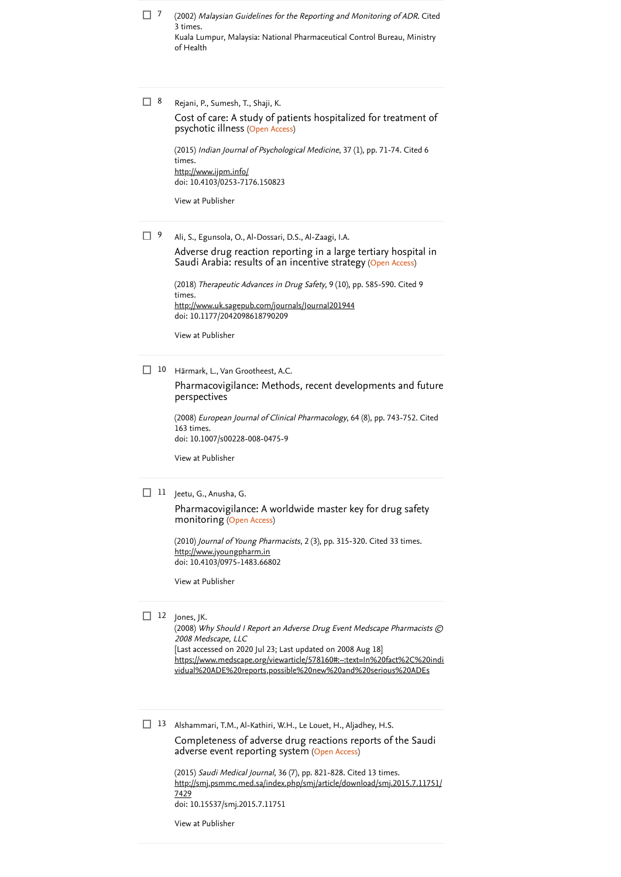$7$   $\,$  (2002) [Malaysian Guidelines for the Reporting and Monitoring of ADR](https://www.scopus.com/search/submit/citedby.uri?eid=2-s2.0-85121122456&refeid=2-s2.0-84993821860&src=s&origin=reflist&refstat=dummy). Cited . 3 times Kuala Lumpur, Malaysia: National Pharmaceutical Control Bureau, Ministry of Health

Rejani, P., Sumesh, T., Shaji, K.  $\Box$  8

> psychotic illness (Open Access) [Cost of care: A study of patients hospitalized for treatment of](https://www.scopus.com/record/display.uri?eid=2-s2.0-84923064059&origin=reflist&sort=plf-f&src=s&st1=Retrospective+assessment+of+the+reporting+of+adverse+drug+reactions+in+a+Malaysian+clinical+training+center%3a+A+short+communication&sid=268aa75124c84f7e9287c128a89251e7&sot=b&sdt=b&sl=145&s=TITLE-ABS-KEY%28Retrospective+assessment+of+the+reporting+of+adverse+drug+reactions+in+a+Malaysian+clinical+training+center%3a+A+short+communication%29)

(2015) *[Indian Journal of Psychological Medicine](https://www.scopus.com/search/submit/citedby.uri?eid=2-s2.0-85121122456&refeid=2-s2.0-84923064059&src=s&origin=reflist&refstat=core)*, 37 (1), pp. 71-74. Cited 6 . times doi: 10.4103/0253-7176.150823 <http://www.ijpm.info/>

[View at Publisher](https://www.scopus.com/redirect/linking.uri?targetURL=https%3a%2f%2fdoi.org%2f10.4103%2f0253-7176.150823&locationID=3&categoryID=4&eid=2-s2.0-84923064059&issn=09751564&linkType=ViewAtPublisher&year=2015&origin=reflist&dig=6fea68f9d8a13a62ca72e827e6ec022f)

Ali, S., Egunsola, O., Al-Dossari, D.S., Al-Zaagi, I.A.  $\Box$  9

> Saudi Arabia: results of an incentive strategy (Open Access) [Adverse drug reaction reporting in a large tertiary hospital in](https://www.scopus.com/record/display.uri?eid=2-s2.0-85052597594&origin=reflist&sort=plf-f&src=s&st1=Retrospective+assessment+of+the+reporting+of+adverse+drug+reactions+in+a+Malaysian+clinical+training+center%3a+A+short+communication&sid=268aa75124c84f7e9287c128a89251e7&sot=b&sdt=b&sl=145&s=TITLE-ABS-KEY%28Retrospective+assessment+of+the+reporting+of+adverse+drug+reactions+in+a+Malaysian+clinical+training+center%3a+A+short+communication%29)

(2018) *[Therapeutic Advances in Drug Safety](https://www.scopus.com/search/submit/citedby.uri?eid=2-s2.0-85121122456&refeid=2-s2.0-85052597594&src=s&origin=reflist&refstat=core)*, 9 (10), pp. 585-590. Cited 9 . times doi: 10.1177/2042098618790209 <http://www.uk.sagepub.com/journals/Journal201944>

[View at Publisher](https://www.scopus.com/redirect/linking.uri?targetURL=https%3a%2f%2fdoi.org%2f10.1177%2f2042098618790209&locationID=3&categoryID=4&eid=2-s2.0-85052597594&issn=20420994&linkType=ViewAtPublisher&year=2018&origin=reflist&dig=6c7d0911e84e9c035c047ef925611896)

10 Härmark, L., Van Grootheest, A.C.

[Pharmacovigilance: Methods, recent developments and future](https://www.scopus.com/record/display.uri?eid=2-s2.0-45849119038&origin=reflist&sort=plf-f&src=s&st1=Retrospective+assessment+of+the+reporting+of+adverse+drug+reactions+in+a+Malaysian+clinical+training+center%3a+A+short+communication&sid=268aa75124c84f7e9287c128a89251e7&sot=b&sdt=b&sl=145&s=TITLE-ABS-KEY%28Retrospective+assessment+of+the+reporting+of+adverse+drug+reactions+in+a+Malaysian+clinical+training+center%3a+A+short+communication%29) perspectives

(2008) [European Journal of Clinical Pharmacology](https://www.scopus.com/search/submit/citedby.uri?eid=2-s2.0-85121122456&refeid=2-s2.0-45849119038&src=s&origin=reflist&refstat=core), 64 (8), pp. 743-752. Cited . 163 times doi: 10.1007/s00228-008-0475-9

[View at Publisher](https://www.scopus.com/redirect/linking.uri?targetURL=https%3a%2f%2fdoi.org%2f10.1007%2fs00228-008-0475-9&locationID=3&categoryID=4&eid=2-s2.0-45849119038&issn=00316970&linkType=ViewAtPublisher&year=2008&origin=reflist&dig=dc97ef8bb9512d5e2422be5ac7b9c1b7)

 $11$  Jeetu, G., Anusha, G.

monitoring (Open Access) [Pharmacovigilance: A worldwide master key for drug safety](https://www.scopus.com/record/display.uri?eid=2-s2.0-77955870497&origin=reflist&sort=plf-f&src=s&st1=Retrospective+assessment+of+the+reporting+of+adverse+drug+reactions+in+a+Malaysian+clinical+training+center%3a+A+short+communication&sid=268aa75124c84f7e9287c128a89251e7&sot=b&sdt=b&sl=145&s=TITLE-ABS-KEY%28Retrospective+assessment+of+the+reporting+of+adverse+drug+reactions+in+a+Malaysian+clinical+training+center%3a+A+short+communication%29)

(2010) *Journal of Young Pharmacists*, 2 (3), pp. 315-320. [Cited 33 times](https://www.scopus.com/search/submit/citedby.uri?eid=2-s2.0-85121122456&refeid=2-s2.0-77955870497&src=s&origin=reflist&refstat=core). doi: 10.4103/0975-1483.66802 [http://www.jyoungpharm.in](http://www.jyoungpharm.in/)

[View at Publisher](https://www.scopus.com/redirect/linking.uri?targetURL=https%3a%2f%2fdoi.org%2f10.4103%2f0975-1483.66802&locationID=3&categoryID=4&eid=2-s2.0-77955870497&issn=09751505&linkType=ViewAtPublisher&year=2010&origin=reflist&dig=5308acd57d77ce2d952c432b7ec67716)

#### $12$  Jones, JK.

(2008) Why Should I Report an Adverse Drug Event Medscape Pharmacists © 2008 Medscape, LLC [Last accessed on 2020 Jul 23; Last updated on 2008 Aug 18] [https://www.medscape.org/viewarticle/578160#:~:text=In%20fact%2C%20indi](https://www.medscape.org/viewarticle/578160#:~:text=In%20fact%2C%20individual%20ADE%20reports,possible%20new%20and%20serious%20ADEs) vidual%20ADE%20reports,possible%20new%20and%20serious%20ADEs

13 Alshammari, T.M., Al-Kathiri, W.H., Le Louet, H., Aljadhey, H.S. adverse event reporting system (Open Access) [Completeness of adverse drug reactions reports of the Saudi](https://www.scopus.com/record/display.uri?eid=2-s2.0-84935447134&origin=reflist&sort=plf-f&src=s&st1=Retrospective+assessment+of+the+reporting+of+adverse+drug+reactions+in+a+Malaysian+clinical+training+center%3a+A+short+communication&sid=268aa75124c84f7e9287c128a89251e7&sot=b&sdt=b&sl=145&s=TITLE-ABS-KEY%28Retrospective+assessment+of+the+reporting+of+adverse+drug+reactions+in+a+Malaysian+clinical+training+center%3a+A+short+communication%29)

(2015) Saudi Medical Journal, 36 (7), pp. 821-828. Cited 13 times. doi: 10.15537/smj.2015.7.11751 [http://smj.psmmc.med.sa/index.php/smj/article/download/smj.2015.7.11751/](http://smj.psmmc.med.sa/index.php/smj/article/download/smj.2015.7.11751/7429) 7429

[View at Publisher](https://www.scopus.com/redirect/linking.uri?targetURL=https%3a%2f%2fdoi.org%2f10.15537%2fsmj.2015.7.11751&locationID=3&categoryID=4&eid=2-s2.0-84935447134&issn=16583175&linkType=ViewAtPublisher&year=2015&origin=reflist&dig=8f886d19c4e75a3d7a3f2d066e495b49)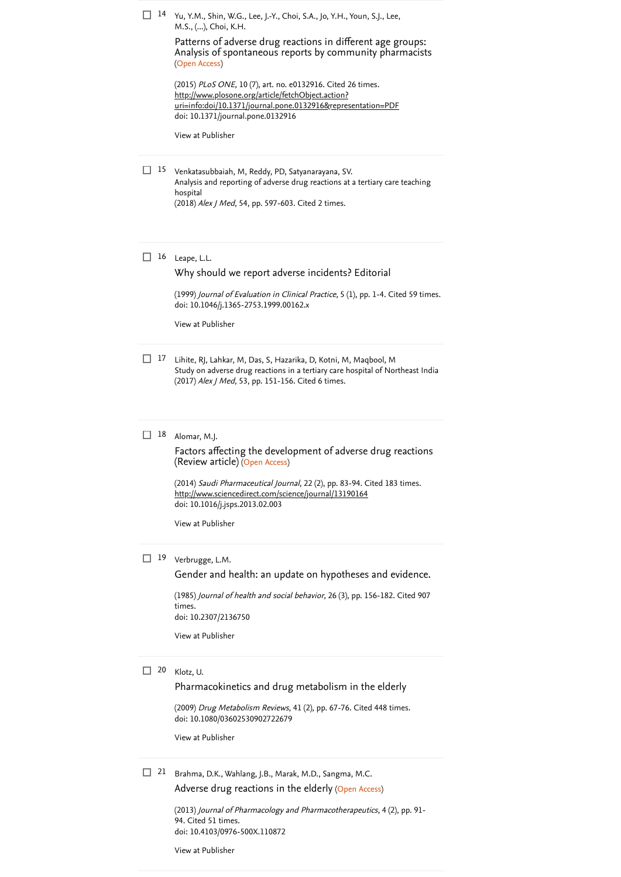<sup>14</sup> Yu, Y.M., Shin, W.G., Lee, J.-Y., Choi, S.A., Jo, Y.H., Youn, S.J., Lee, M.S., (...), Choi, K.H.

> (Open Access) Patterns of adverse drug reactions in different age groups: [Analysis of spontaneous reports by community pharmacists](https://www.scopus.com/record/display.uri?eid=2-s2.0-84940760554&origin=reflist&sort=plf-f&src=s&st1=Retrospective+assessment+of+the+reporting+of+adverse+drug+reactions+in+a+Malaysian+clinical+training+center%3a+A+short+communication&sid=268aa75124c84f7e9287c128a89251e7&sot=b&sdt=b&sl=145&s=TITLE-ABS-KEY%28Retrospective+assessment+of+the+reporting+of+adverse+drug+reactions+in+a+Malaysian+clinical+training+center%3a+A+short+communication%29)

(2015) *PLoS ONE*, 10 (7), art. no. e0132916. [Cited 26 times](https://www.scopus.com/search/submit/citedby.uri?eid=2-s2.0-85121122456&refeid=2-s2.0-84940760554&src=s&origin=reflist&refstat=core). doi: 10.1371/journal.pone.0132916 http://www.plosone.org/article/fetchObject.action? [uri=info:doi/10.1371/journal.pone.0132916&representation=PDF](http://www.plosone.org/article/fetchObject.action?uri=info:doi/10.1371/journal.pone.0132916&representation=PDF)

[View at Publisher](https://www.scopus.com/redirect/linking.uri?targetURL=https%3a%2f%2fdoi.org%2f10.1371%2fjournal.pone.0132916&locationID=3&categoryID=4&eid=2-s2.0-84940760554&issn=19326203&linkType=ViewAtPublisher&year=2015&origin=reflist&dig=fb5a1b1f4ef2670422569a36816964bf)

Venkatasubbaiah, M, Reddy, PD, Satyanarayana, SV. 15 Analysis and reporting of adverse drug reactions at a tertiary care teaching hospital (2018) Alex J Med, 54, pp. 597-603. [Cited 2 times](https://www.scopus.com/search/submit/citedby.uri?eid=2-s2.0-85121122456&refeid=2-s2.0-85107543164&src=s&origin=reflist&refstat=dummy).

#### $16$  Leape, L.L.

#### [Why should we report adverse incidents? Editorial](https://www.scopus.com/record/display.uri?eid=2-s2.0-0032956035&origin=reflist&sort=plf-f&src=s&st1=Retrospective+assessment+of+the+reporting+of+adverse+drug+reactions+in+a+Malaysian+clinical+training+center%3a+A+short+communication&sid=268aa75124c84f7e9287c128a89251e7&sot=b&sdt=b&sl=145&s=TITLE-ABS-KEY%28Retrospective+assessment+of+the+reporting+of+adverse+drug+reactions+in+a+Malaysian+clinical+training+center%3a+A+short+communication%29)

 $(1999)$  *Journal of Evaluation in Clinical Practice*, 5  $(1)$ , pp. 1-4. [Cited 59 times](https://www.scopus.com/search/submit/citedby.uri?eid=2-s2.0-85121122456&refeid=2-s2.0-0032956035&src=s&origin=reflist&refstat=core). doi: 10.1046/j.1365-2753.1999.00162.x

[View at Publisher](https://www.scopus.com/redirect/linking.uri?targetURL=https%3a%2f%2fdoi.org%2f10.1046%2fj.1365-2753.1999.00162.x&locationID=3&categoryID=4&eid=2-s2.0-0032956035&issn=13561294&linkType=ViewAtPublisher&year=1999&origin=reflist&dig=f7d3cc52fd00de686596a5ee3d686dd2)

17 Lihite, RJ, Lahkar, M, Das, S, Hazarika, D, Kotni, M, Maqbool, M Study on adverse drug reactions in a tertiary care hospital of Northeast India (2017) Alex J Med, 53, pp. 151-156. [Cited 6 times](https://www.scopus.com/search/submit/citedby.uri?eid=2-s2.0-85121122456&refeid=2-s2.0-85051277295&src=s&origin=reflist&refstat=dummy).

#### Alomar, M.J. 18

(Review article) (Open Access) [Factors affecting the development of adverse drug reactions](https://www.scopus.com/record/display.uri?eid=2-s2.0-84895433853&origin=reflist&sort=plf-f&src=s&st1=Retrospective+assessment+of+the+reporting+of+adverse+drug+reactions+in+a+Malaysian+clinical+training+center%3a+A+short+communication&sid=268aa75124c84f7e9287c128a89251e7&sot=b&sdt=b&sl=145&s=TITLE-ABS-KEY%28Retrospective+assessment+of+the+reporting+of+adverse+drug+reactions+in+a+Malaysian+clinical+training+center%3a+A+short+communication%29)

(2014) *Saudi Pharmaceutical Journal*, 22 (2), pp. 83-94. [Cited 183 times](https://www.scopus.com/search/submit/citedby.uri?eid=2-s2.0-85121122456&refeid=2-s2.0-84895433853&src=s&origin=reflist&refstat=core). doi: 10.1016/j.jsps.2013.02.003 <http://www.sciencedirect.com/science/journal/13190164>

[View at Publisher](https://www.scopus.com/redirect/linking.uri?targetURL=https%3a%2f%2fdoi.org%2f10.1016%2fj.jsps.2013.02.003&locationID=3&categoryID=4&eid=2-s2.0-84895433853&issn=13190164&linkType=ViewAtPublisher&year=2014&origin=reflist&dig=bdbdc593e4f73a9ea4090e09c5c6d2df)

#### 19 Verbrugge, L.M.

[Gender and health: an update on hypotheses and evidence.](https://www.scopus.com/record/display.uri?eid=2-s2.0-0022120377&origin=reflist&sort=plf-f&src=s&st1=Retrospective+assessment+of+the+reporting+of+adverse+drug+reactions+in+a+Malaysian+clinical+training+center%3a+A+short+communication&sid=268aa75124c84f7e9287c128a89251e7&sot=b&sdt=b&sl=145&s=TITLE-ABS-KEY%28Retrospective+assessment+of+the+reporting+of+adverse+drug+reactions+in+a+Malaysian+clinical+training+center%3a+A+short+communication%29)

(1985) [Journal of health and social behavior](https://www.scopus.com/search/submit/citedby.uri?eid=2-s2.0-85121122456&refeid=2-s2.0-0022120377&src=s&origin=reflist&refstat=core), 26 (3), pp. 156-182. Cited 907 . times doi: 10.2307/2136750

[View at Publisher](https://www.scopus.com/redirect/linking.uri?targetURL=https%3a%2f%2fdoi.org%2f10.2307%2f2136750&locationID=3&categoryID=4&eid=2-s2.0-0022120377&issn=00221465&linkType=ViewAtPublisher&year=1985&origin=reflist&dig=11bca53a5cb129b0a40665c3dd8f0244)

#### Klotz, U. 20

[Pharmacokinetics and drug metabolism in the elderly](https://www.scopus.com/record/display.uri?eid=2-s2.0-70149103802&origin=reflist&sort=plf-f&src=s&st1=Retrospective+assessment+of+the+reporting+of+adverse+drug+reactions+in+a+Malaysian+clinical+training+center%3a+A+short+communication&sid=268aa75124c84f7e9287c128a89251e7&sot=b&sdt=b&sl=145&s=TITLE-ABS-KEY%28Retrospective+assessment+of+the+reporting+of+adverse+drug+reactions+in+a+Malaysian+clinical+training+center%3a+A+short+communication%29)

(2009) *Drug Metabolism Reviews*, 41 (2), pp. 67-76. [Cited 448 times](https://www.scopus.com/search/submit/citedby.uri?eid=2-s2.0-85121122456&refeid=2-s2.0-70149103802&src=s&origin=reflist&refstat=core). doi: 10.1080/03602530902722679

[View at Publisher](https://www.scopus.com/redirect/linking.uri?targetURL=https%3a%2f%2fdoi.org%2f10.1080%2f03602530902722679&locationID=3&categoryID=4&eid=2-s2.0-70149103802&issn=03602532&linkType=ViewAtPublisher&year=2009&origin=reflist&dig=2fe00a154e8c85aceac12a275fa253d1)

 $21$  Brahma, D.K., Wahlang, J.B., Marak, M.D., Sangma, M.C.

[Adverse drug reactions in the elderly](https://www.scopus.com/record/display.uri?eid=2-s2.0-84877110600&origin=reflist&sort=plf-f&src=s&st1=Retrospective+assessment+of+the+reporting+of+adverse+drug+reactions+in+a+Malaysian+clinical+training+center%3a+A+short+communication&sid=268aa75124c84f7e9287c128a89251e7&sot=b&sdt=b&sl=145&s=TITLE-ABS-KEY%28Retrospective+assessment+of+the+reporting+of+adverse+drug+reactions+in+a+Malaysian+clinical+training+center%3a+A+short+communication%29) (Open Access)

(2013) Journal of Pharmacology and Pharmacotherapeutics, 4 (2), pp. 91- 94. [Cited 51 times](https://www.scopus.com/search/submit/citedby.uri?eid=2-s2.0-85121122456&refeid=2-s2.0-84877110600&src=s&origin=reflist&refstat=core). doi: 10.4103/0976-500X.110872

[View at Publisher](https://www.scopus.com/redirect/linking.uri?targetURL=https%3a%2f%2fdoi.org%2f10.4103%2f0976-500X.110872&locationID=3&categoryID=4&eid=2-s2.0-84877110600&issn=0976500X&linkType=ViewAtPublisher&year=2013&origin=reflist&dig=e0116773c0e4aab816613c193ace884f)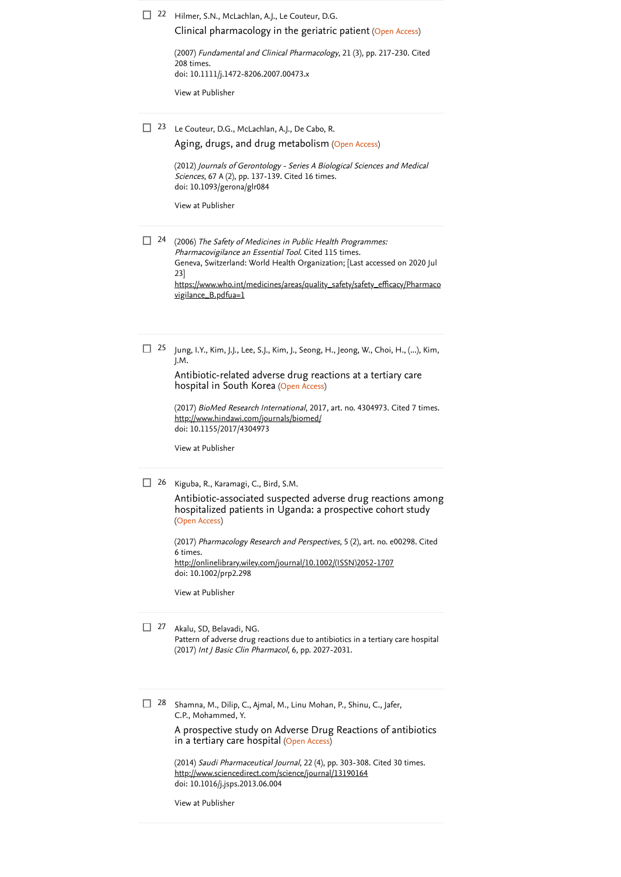### 22 Hilmer, S.N., McLachlan, A.J., Le Couteur, D.G.

[Clinical pharmacology in the geriatric patient](https://www.scopus.com/record/display.uri?eid=2-s2.0-34249321585&origin=reflist&sort=plf-f&src=s&st1=Retrospective+assessment+of+the+reporting+of+adverse+drug+reactions+in+a+Malaysian+clinical+training+center%3a+A+short+communication&sid=268aa75124c84f7e9287c128a89251e7&sot=b&sdt=b&sl=145&s=TITLE-ABS-KEY%28Retrospective+assessment+of+the+reporting+of+adverse+drug+reactions+in+a+Malaysian+clinical+training+center%3a+A+short+communication%29) (Open Access)

(2007) *[Fundamental and Clinical Pharmacology](https://www.scopus.com/search/submit/citedby.uri?eid=2-s2.0-85121122456&refeid=2-s2.0-34249321585&src=s&origin=reflist&refstat=core)*, 21 (3), pp. 217-230. Cited . 208 times doi: 10.1111/j.1472-8206.2007.00473.x

[View at Publisher](https://www.scopus.com/redirect/linking.uri?targetURL=https%3a%2f%2fdoi.org%2f10.1111%2fj.1472-8206.2007.00473.x&locationID=3&categoryID=4&eid=2-s2.0-34249321585&issn=07673981&linkType=ViewAtPublisher&year=2007&origin=reflist&dig=dbb3e74f3274af0561cfe8718f22a939)

<sup>23</sup> Le Couteur, D.G., McLachlan, A.J., De Cabo, R.

[Aging, drugs, and drug metabolism](https://www.scopus.com/record/display.uri?eid=2-s2.0-84856202631&origin=reflist&sort=plf-f&src=s&st1=Retrospective+assessment+of+the+reporting+of+adverse+drug+reactions+in+a+Malaysian+clinical+training+center%3a+A+short+communication&sid=268aa75124c84f7e9287c128a89251e7&sot=b&sdt=b&sl=145&s=TITLE-ABS-KEY%28Retrospective+assessment+of+the+reporting+of+adverse+drug+reactions+in+a+Malaysian+clinical+training+center%3a+A+short+communication%29) (Open Access)

(2012) Journals of Gerontology - Series A Biological Sciences and Medical Sciences, 67 A (2), pp. 137-139. [Cited 16 times](https://www.scopus.com/search/submit/citedby.uri?eid=2-s2.0-85121122456&refeid=2-s2.0-84856202631&src=s&origin=reflist&refstat=core). doi: 10.1093/gerona/glr084

[View at Publisher](https://www.scopus.com/redirect/linking.uri?targetURL=https%3a%2f%2fdoi.org%2f10.1093%2fgerona%2fglr084&locationID=3&categoryID=4&eid=2-s2.0-84856202631&issn=10795006&linkType=ViewAtPublisher&year=2012&origin=reflist&dig=f0804a337a13dc67979be585e5897820)

- $24$  (2006) The Safety of Medicines in Public Health Programmes: Pharmacovigilance an Essential Tool. [Cited 115 times](https://www.scopus.com/search/submit/citedby.uri?eid=2-s2.0-85121122456&refeid=2-s2.0-48849085044&src=s&origin=reflist&refstat=dummy). Geneva, Switzerland: World Health Organization; [Last accessed on 2020 Jul 23] [https://www.who.int/medicines/areas/quality\\_safety/safety\\_efficacy/Pharmaco](https://www.who.int/medicines/areas/quality_safety/safety_efficacy/Pharmacovigilance_B.pdfua=1) vigilance\_B.pdfua=1
- Jung, I.Y., Kim, J.J., Lee, S.J., Kim, J., Seong, H., Jeong, W., Choi, H., (...), Kim, J.M.  $\Box$  25

hospital in South Korea (Open Access) [Antibiotic-related adverse drug](https://www.scopus.com/record/display.uri?eid=2-s2.0-85042153979&origin=reflist&sort=plf-f&src=s&st1=Retrospective+assessment+of+the+reporting+of+adverse+drug+reactions+in+a+Malaysian+clinical+training+center%3a+A+short+communication&sid=268aa75124c84f7e9287c128a89251e7&sot=b&sdt=b&sl=145&s=TITLE-ABS-KEY%28Retrospective+assessment+of+the+reporting+of+adverse+drug+reactions+in+a+Malaysian+clinical+training+center%3a+A+short+communication%29) reactions at a tertiary care

(2017) *BioMed Research International*, 2017, art. no. 4304973. [Cited 7 times](https://www.scopus.com/search/submit/citedby.uri?eid=2-s2.0-85121122456&refeid=2-s2.0-85042153979&src=s&origin=reflist&refstat=core). doi: 10.1155/2017/4304973 <http://www.hindawi.com/journals/biomed/>

[View at Publisher](https://www.scopus.com/redirect/linking.uri?targetURL=https%3a%2f%2fdoi.org%2f10.1155%2f2017%2f4304973&locationID=3&categoryID=4&eid=2-s2.0-85042153979&issn=23146141&linkType=ViewAtPublisher&year=2017&origin=reflist&dig=6b30552218937b5fdc132e6b16aafaa4)

<sup>26</sup> Kiguba, R., Karamagi, C., Bird, S.M.

(Open Access) [Antibiotic-associated suspected adverse drug reactions among](https://www.scopus.com/record/display.uri?eid=2-s2.0-85026603790&origin=reflist&sort=plf-f&src=s&st1=Retrospective+assessment+of+the+reporting+of+adverse+drug+reactions+in+a+Malaysian+clinical+training+center%3a+A+short+communication&sid=268aa75124c84f7e9287c128a89251e7&sot=b&sdt=b&sl=145&s=TITLE-ABS-KEY%28Retrospective+assessment+of+the+reporting+of+adverse+drug+reactions+in+a+Malaysian+clinical+training+center%3a+A+short+communication%29) hospitalized patients in Uganda: a prospective cohort study

(2017) *[Pharmacology Research and Perspectives](https://www.scopus.com/search/submit/citedby.uri?eid=2-s2.0-85121122456&refeid=2-s2.0-85026603790&src=s&origin=reflist&refstat=core)*, 5 (2), art. no. e00298. Cited . 6 times doi: 10.1002/prp2.298 [http://onlinelibrary.wiley.com/journal/10.1002/\(ISSN\)2052-1707](http://onlinelibrary.wiley.com/journal/10.1002/(ISSN)2052-1707)

[View at Publisher](https://www.scopus.com/redirect/linking.uri?targetURL=https%3a%2f%2fdoi.org%2f10.1002%2fprp2.298&locationID=3&categoryID=4&eid=2-s2.0-85026603790&issn=20521707&linkType=ViewAtPublisher&year=2017&origin=reflist&dig=8158935387e274c6798d1fa3554539d0)

#### Akalu, SD, Belavadi, NG.  $\Box$  27

Pattern of adverse drug reactions due to antibiotics in a tertiary care hospital (2017) Int J Basic Clin Pharmacol, 6, pp. 2027-2031.

Shamna, M., Dilip, C., Ajmal, M., Linu Mohan, P., Shinu, C., Jafer, C.P., Mohammed, Y.  $\Box$  28

> in a tertiary care hospital (Open Access) [A prospective study on Adverse Drug Reactions of antibiotics](https://www.scopus.com/record/display.uri?eid=2-s2.0-84906265685&origin=reflist&sort=plf-f&src=s&st1=Retrospective+assessment+of+the+reporting+of+adverse+drug+reactions+in+a+Malaysian+clinical+training+center%3a+A+short+communication&sid=268aa75124c84f7e9287c128a89251e7&sot=b&sdt=b&sl=145&s=TITLE-ABS-KEY%28Retrospective+assessment+of+the+reporting+of+adverse+drug+reactions+in+a+Malaysian+clinical+training+center%3a+A+short+communication%29)

(2014) *Saudi Pharmaceutical Journal*, 22 (4), pp. 303-308. [Cited 30 times](https://www.scopus.com/search/submit/citedby.uri?eid=2-s2.0-85121122456&refeid=2-s2.0-84906265685&src=s&origin=reflist&refstat=core). doi: 10.1016/j.jsps.2013.06.004 <http://www.sciencedirect.com/science/journal/13190164>

[View at Publisher](https://www.scopus.com/redirect/linking.uri?targetURL=https%3a%2f%2fdoi.org%2f10.1016%2fj.jsps.2013.06.004&locationID=3&categoryID=4&eid=2-s2.0-84906265685&issn=13190164&linkType=ViewAtPublisher&year=2014&origin=reflist&dig=fda206f47aac30614f3fa423503c3583)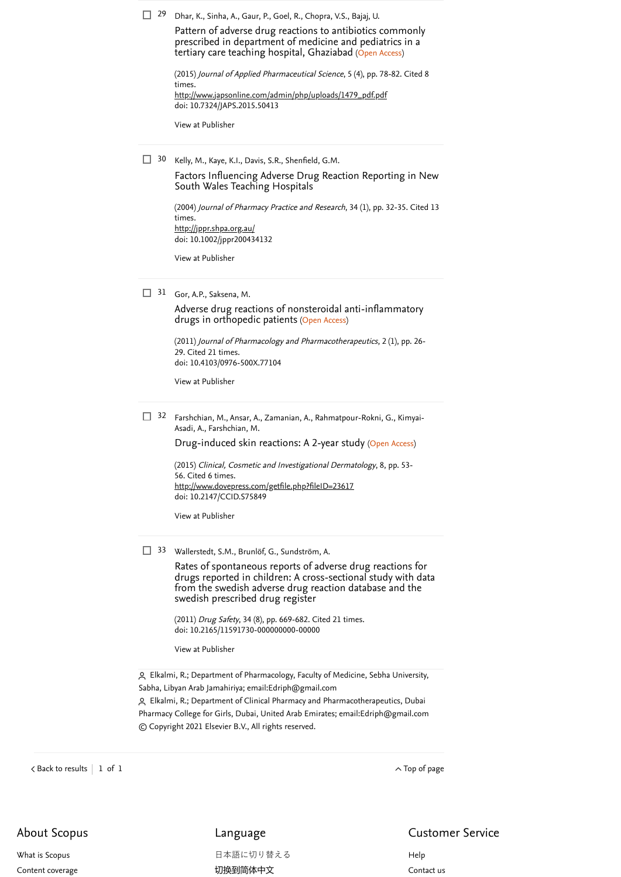<sup>29</sup> Dhar, K., Sinha, A., Gaur, P., Goel, R., Chopra, V.S., Bajaj, U.

tertiary care teaching hospital, Ghaziabad (Open Access) Pattern of adverse drug reactions to antibiotics commonly [prescribed in department of medicine and pediatrics in a](https://www.scopus.com/record/display.uri?eid=2-s2.0-84928735859&origin=reflist&sort=plf-f&src=s&st1=Retrospective+assessment+of+the+reporting+of+adverse+drug+reactions+in+a+Malaysian+clinical+training+center%3a+A+short+communication&sid=268aa75124c84f7e9287c128a89251e7&sot=b&sdt=b&sl=145&s=TITLE-ABS-KEY%28Retrospective+assessment+of+the+reporting+of+adverse+drug+reactions+in+a+Malaysian+clinical+training+center%3a+A+short+communication%29)

| (2015) Journal of Applied Pharmaceutical Science, 5 (4), pp. 78-82. Cited 8 |  |  |  |
|-----------------------------------------------------------------------------|--|--|--|
| times.                                                                      |  |  |  |
| http://www.japsonline.com/admin/php/uploads/1479_pdf.pdf                    |  |  |  |
| doi: 10.7324/JAPS.2015.50413                                                |  |  |  |

[View at Publisher](https://www.scopus.com/redirect/linking.uri?targetURL=https%3a%2f%2fdoi.org%2f10.7324%2fJAPS.2015.50413&locationID=3&categoryID=4&eid=2-s2.0-84928735859&issn=22313354&linkType=ViewAtPublisher&year=2015&origin=reflist&dig=92e69f405df042769d97e35091d13621)

Kelly, M., Kaye, K.I., Davis, S.R., Shenfield, G.M.  $\Box$  30 [Factors Influencing Adverse Drug Reaction Reporting in New](https://www.scopus.com/record/display.uri?eid=2-s2.0-1942537539&origin=reflist&sort=plf-f&src=s&st1=Retrospective+assessment+of+the+reporting+of+adverse+drug+reactions+in+a+Malaysian+clinical+training+center%3a+A+short+communication&sid=268aa75124c84f7e9287c128a89251e7&sot=b&sdt=b&sl=145&s=TITLE-ABS-KEY%28Retrospective+assessment+of+the+reporting+of+adverse+drug+reactions+in+a+Malaysian+clinical+training+center%3a+A+short+communication%29) South Wales Teaching Hospitals

> (2004) [Journal of Pharmacy Practice and Research](https://www.scopus.com/search/submit/citedby.uri?eid=2-s2.0-85121122456&refeid=2-s2.0-1942537539&src=s&origin=reflist&refstat=core), 34 (1), pp. 32-35. Cited 13 . times doi: 10.1002/jppr200434132 <http://jppr.shpa.org.au/>

[View at Publisher](https://www.scopus.com/redirect/linking.uri?targetURL=https%3a%2f%2fdoi.org%2f10.1002%2fjppr200434132&locationID=3&categoryID=4&eid=2-s2.0-1942537539&issn=1445937X&linkType=ViewAtPublisher&year=2004&origin=reflist&dig=3a56d71e8fde7700c075c6044b65b32d)

31 Gor, A.P., Saksena, M.

drugs in orthopedic patients (Open Access) [Adverse drug reactions of nonsteroidal anti-inflammatory](https://www.scopus.com/record/display.uri?eid=2-s2.0-84857559117&origin=reflist&sort=plf-f&src=s&st1=Retrospective+assessment+of+the+reporting+of+adverse+drug+reactions+in+a+Malaysian+clinical+training+center%3a+A+short+communication&sid=268aa75124c84f7e9287c128a89251e7&sot=b&sdt=b&sl=145&s=TITLE-ABS-KEY%28Retrospective+assessment+of+the+reporting+of+adverse+drug+reactions+in+a+Malaysian+clinical+training+center%3a+A+short+communication%29)

(2011) Journal of Pharmacology and Pharmacotherapeutics, 2 (1), pp. 26- 29. [Cited 21 times](https://www.scopus.com/search/submit/citedby.uri?eid=2-s2.0-85121122456&refeid=2-s2.0-84857559117&src=s&origin=reflist&refstat=core). doi: 10.4103/0976-500X.77104

[View at Publisher](https://www.scopus.com/redirect/linking.uri?targetURL=https%3a%2f%2fdoi.org%2f10.4103%2f0976-500X.77104&locationID=3&categoryID=4&eid=2-s2.0-84857559117&issn=0976500X&linkType=ViewAtPublisher&year=2011&origin=reflist&dig=d064e47b3d4358ea2dc595e4f39feed3)

32 Farshchian, M., Ansar, A., Zamanian, A., Rahmatpour-Rokni, G., Kimyai-Asadi, A., Farshchian, M.

[Drug-induced skin reactions: A](https://www.scopus.com/record/display.uri?eid=2-s2.0-84922592739&origin=reflist&sort=plf-f&src=s&st1=Retrospective+assessment+of+the+reporting+of+adverse+drug+reactions+in+a+Malaysian+clinical+training+center%3a+A+short+communication&sid=268aa75124c84f7e9287c128a89251e7&sot=b&sdt=b&sl=145&s=TITLE-ABS-KEY%28Retrospective+assessment+of+the+reporting+of+adverse+drug+reactions+in+a+Malaysian+clinical+training+center%3a+A+short+communication%29) 2-year study (Open Access)

(2015) Clinical, Cosmetic and Investigational Dermatology, 8, pp. 53- 56. [Cited 6 times](https://www.scopus.com/search/submit/citedby.uri?eid=2-s2.0-85121122456&refeid=2-s2.0-84922592739&src=s&origin=reflist&refstat=core). doi: 10.2147/CCID.S75849 <http://www.dovepress.com/getfile.php?fileID=23617>

[View at Publisher](https://www.scopus.com/redirect/linking.uri?targetURL=https%3a%2f%2fdoi.org%2f10.2147%2fCCID.S75849&locationID=3&categoryID=4&eid=2-s2.0-84922592739&issn=11787015&linkType=ViewAtPublisher&year=2015&origin=reflist&dig=52d80bdbdae436f110c7c439404ad187)

33 Wallerstedt, S.M., Brunlöf, G., Sundström, A.

Rates of spontaneous reports of adverse drug reactions for [drugs reported in children: A cross-sectional study with data](https://www.scopus.com/record/display.uri?eid=2-s2.0-79960354518&origin=reflist&sort=plf-f&src=s&st1=Retrospective+assessment+of+the+reporting+of+adverse+drug+reactions+in+a+Malaysian+clinical+training+center%3a+A+short+communication&sid=268aa75124c84f7e9287c128a89251e7&sot=b&sdt=b&sl=145&s=TITLE-ABS-KEY%28Retrospective+assessment+of+the+reporting+of+adverse+drug+reactions+in+a+Malaysian+clinical+training+center%3a+A+short+communication%29) from the swedish adverse drug reaction database and the swedish prescribed drug register

(2011) *Drug Safety*, 34 (8), pp. 669-682. [Cited 21 times](https://www.scopus.com/search/submit/citedby.uri?eid=2-s2.0-85121122456&refeid=2-s2.0-79960354518&src=s&origin=reflist&refstat=core). doi: 10.2165/11591730-000000000-00000

[View at Publisher](https://www.scopus.com/redirect/linking.uri?targetURL=https%3a%2f%2fdoi.org%2f10.2165%2f11591730-000000000-00000&locationID=3&categoryID=4&eid=2-s2.0-79960354518&issn=01145916&linkType=ViewAtPublisher&year=2011&origin=reflist&dig=a8aad348012bf4006fdc23664b245bec)

 Elkalmi, R.; Department of Pharmacology, Faculty of Medicine, Sebha University, Sabha, Libyan Arab Jamahiriya; email: [Edriph@gmail.com](mailto:Edriph@gmail.com)

 Elkalmi, R.; Department of Clinical Pharmacy and Pharmacotherapeutics, Dubai Pharmacy College for Girls, Dubai, United Arab Emirates; email: [Edriph@gmail.com](mailto:Edriph@gmail.com) © Copyright 2021 Elsevier B.V., All rights reserved.

 $\prec$  [Back to results](https://www.scopus.com/results/results.uri?sort=plf-f&src=s&st1=Retrospective+assessment+of+the+reporting+of+adverse+drug+reactions+in+a+Malaysian+clinical+training+center%3a+A+short+communication&sid=268aa75124c84f7e9287c128a89251e7&sot=b&sdt=b&sl=145&s=TITLE-ABS-KEY%28Retrospective+assessment+of+the+reporting+of+adverse+drug+reactions+in+a+Malaysian+clinical+training+center%3a+A+short+communication%29&offset=1&origin=recordpage)  $\vert$  1 of 1  $\hspace{1cm}$ 

# About Scopus

[What is Scopus](https://www.elsevier.com/online-tools/scopus?dgcid=RN_AGCM_Sourced_300005030) [Content coverage](https://www.elsevier.com/online-tools/scopus/content-overview/?dgcid=RN_AGCM_Sourced_300005030)

# Language

[日本語に切り替える](https://www.scopus.com/personalization/switch/Japanese.uri?origin=recordpage&zone=footer&locale=ja_JP) [切换到简体中文](https://www.scopus.com/personalization/switch/Chinese.uri?origin=recordpage&zone=footer&locale=zh_CN)

Customer Service

[Help](https://www.scopus.com/standard/contactUs.uri?pageOrigin=footer) [Contact us](https://www.scopus.com/standard/contactForm.uri?pageOrigin=footer)